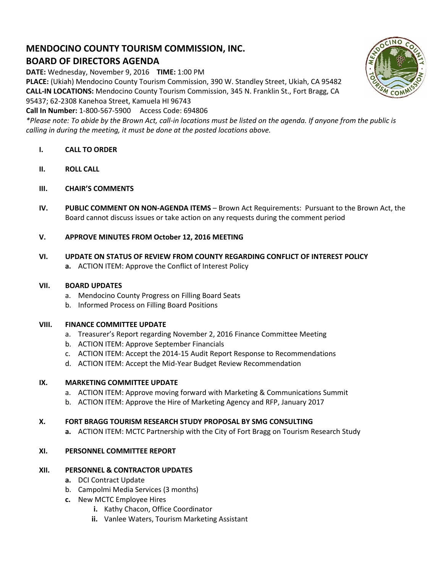# **MENDOCINO COUNTY TOURISM COMMISSION, INC. BOARD OF DIRECTORS AGENDA**

**DATE:** Wednesday, November 9, 2016 **TIME:** 1:00 PM

**PLACE:** (Ukiah) Mendocino County Tourism Commission, 390 W. Standley Street, Ukiah, CA 95482 **CALL-IN LOCATIONS:** Mendocino County Tourism Commission, 345 N. Franklin St., Fort Bragg, CA 95437; 62-2308 Kanehoa Street, Kamuela HI 96743

**Call In Number:** 1-800-567-5900 Access Code: 694806

*\*Please note: To abide by the Brown Act, call-in locations must be listed on the agenda. If anyone from the public is calling in during the meeting, it must be done at the posted locations above.*

- **I. CALL TO ORDER**
- **II. ROLL CALL**
- **III. CHAIR'S COMMENTS**
- **IV. PUBLIC COMMENT ON NON-AGENDA ITEMS** Brown Act Requirements: Pursuant to the Brown Act, the Board cannot discuss issues or take action on any requests during the comment period
- **V. APPROVE MINUTES FROM October 12, 2016 MEETING**
- **VI. UPDATE ON STATUS OF REVIEW FROM COUNTY REGARDING CONFLICT OF INTEREST POLICY a.** ACTION ITEM: Approve the Conflict of Interest Policy

### **VII. BOARD UPDATES**

- a. Mendocino County Progress on Filling Board Seats
- b. Informed Process on Filling Board Positions

### **VIII. FINANCE COMMITTEE UPDATE**

- a. Treasurer's Report regarding November 2, 2016 Finance Committee Meeting
- b. ACTION ITEM: Approve September Financials
- c. ACTION ITEM: Accept the 2014-15 Audit Report Response to Recommendations
- d. ACTION ITEM: Accept the Mid-Year Budget Review Recommendation

### **IX. MARKETING COMMITTEE UPDATE**

- a. ACTION ITEM: Approve moving forward with Marketing & Communications Summit
- b. ACTION ITEM: Approve the Hire of Marketing Agency and RFP, January 2017

### **X. FORT BRAGG TOURISM RESEARCH STUDY PROPOSAL BY SMG CONSULTING**

**a.** ACTION ITEM: MCTC Partnership with the City of Fort Bragg on Tourism Research Study

### **XI. PERSONNEL COMMITTEE REPORT**

### **XII. PERSONNEL & CONTRACTOR UPDATES**

- **a.** DCI Contract Update
- b. Campolmi Media Services (3 months)
- **c.** New MCTC Employee Hires
	- **i.** Kathy Chacon, Office Coordinator
	- **ii.** Vanlee Waters, Tourism Marketing Assistant